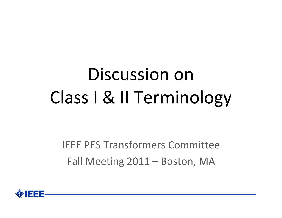# Discussion on Class I & II Terminology

IEEE PES Transformers CommitteeFall Meeting 2011 – Boston, MA

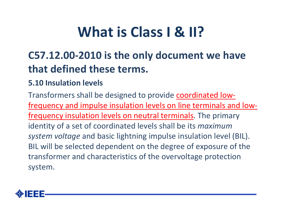#### **What is Class I & II?**

#### **C57.12.00‐2010 is the only document we have that defined these terms.**

#### **5.10 Insulation levels**

Transformers shall be designed to provide coordinated lowfrequency and impulse insulation levels on line terminals and low‐ frequency insulation levels on neutral terminals. The primary identity of <sup>a</sup> set of coordinated levels shall be its *maximum system voltage* and basic lightning impulse insulation level (BIL). BIL will be selected dependent on the degree of exposure of the transformer and characteristics of the overvoltage protection system.

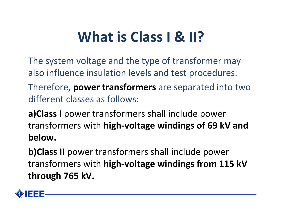### **What is Class I & II?**

- The system voltage and the type of transformer may also influence insulation levels and test procedures.
- Therefore, **power transformers** are separated into two different classes as follows:
- **a)Class I** power transformers shall include power transformers with **high‐voltage windings of 69 kV and below.**
- **b)Class II** power transformers shall include power transformers with **high‐voltage windings from 115 kV through 765 kV.**

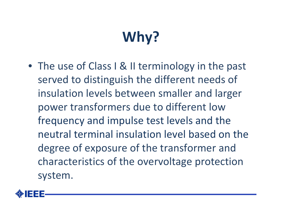# **Why?**

• The use of Class I & II terminology in the past served to distinguish the different needs of insulation levels between smaller and larger power transformers due to different low frequency and impulse test levels and the neutral terminal insulation level based on the degree of exposure of the transformer and characteristics of the overvoltage protection system.

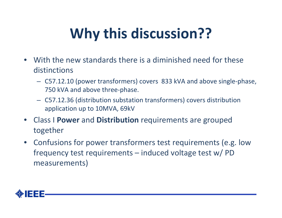## **Why this discussion??**

- With the new standards there is <sup>a</sup> diminished need for these distinctions
	- C57.12.10 (power transformers) covers 833 kVA and above single‐phase, 750 kVA and above three‐phase.
	- C57.12.36 (distribution substation transformers) covers distribution application up to 10MVA, 69kV
- Class I **Power** and **Distribution** requirements are grouped together
- Confusions for power transformers test requirements (e.g. low frequency test requirements – induced voltage test w/ PD measurements)

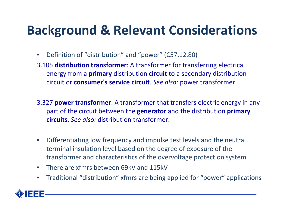#### **Background & Relevant Considerations**

- $\bullet$ Definition of "distribution" and "power" (C57.12.80)
- 3.105 **distribution transformer**: A transformer for transferring electrical energy from <sup>a</sup> **primary** distribution **circuit** to <sup>a</sup> secondary distribution circuit or **consumer's service circuit**. *See also:* power transformer.
- 3.327 **power transformer**: A transformer that transfers electric energy in any part of the circuit between the **generator** and the distribution **primary circuits**. *See also:* distribution transformer.
- $\bullet$  Differentiating low frequency and impulse test levels and the neutral terminal insulation level based on the degree of exposure of the transformer and characteristics of the overvoltage protection system.
- •There are xfmrs between 69kV and 115kV
- •Traditional "distribution" xfmrs are being applied for "power" applications

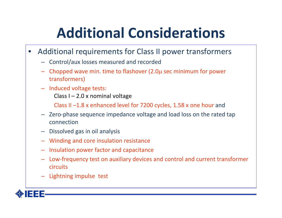### **Additional Considerations**

- • Additional requirements for Class II power transformers
	- Control/aux losses measured and recorded
	- Chopped wave min. time to flashover (2.0µ sec minimum for power transformers)
	- Induced voltage tests: Class I – 2.0 <sup>x</sup> nominal voltage

Class II –1.8 <sup>x</sup> enhanced level for 7200 cycles, 1.58 <sup>x</sup> one hour and

- Zero‐phase sequence impedance voltage and load loss on the rated tap connection
- Dissolved gas in oil analysis
- Winding and core insulation resistance
- Insulation power factor and capacitance
- Low‐frequency test on auxiliary devices and control and current transformer circuits
- Lightning impulse test

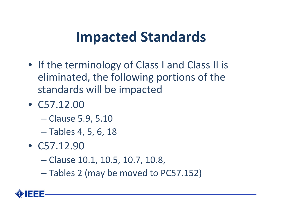#### **Impacted Standards**

- If the terminology of Class I and Class II is eliminated, the following portions of the standards will be impacted
- C57.12.00
	- Clause 5.9, 5.10
	- Tables 4, 5, 6, 18
- C57.12.90
	- Clause 10.1, 10.5, 10.7, 10.8,
	- Tables 2 (may be moved to PC57.152)